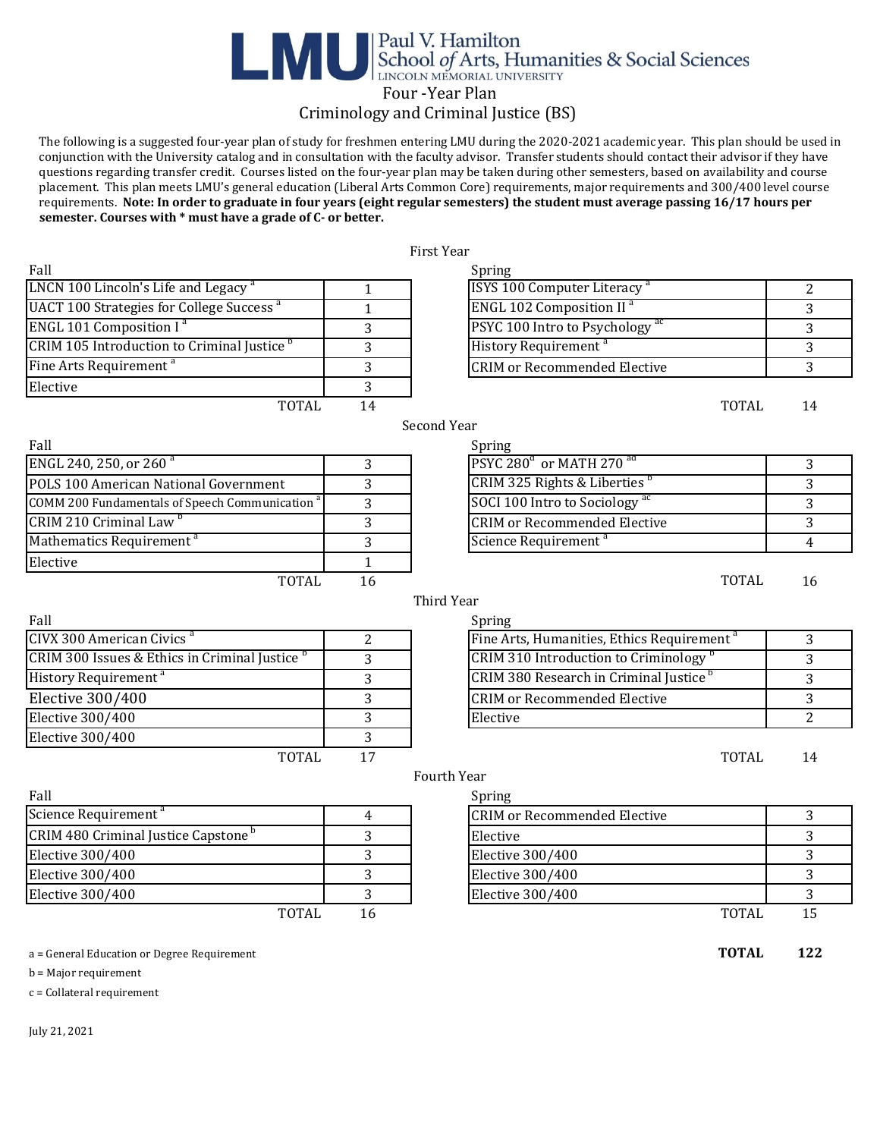## Paul V. Hamilton<br>School of Arts, Humanities & Social Sciences Four -Year Plan

### Criminology and Criminal Justice (BS)

 The following is a suggested four-year plan of study for freshmen entering LMU during the 2020-2021 academic year. This plan should be used in conjunction with the University catalog and in consultation with the faculty advisor. Transfer students should contact their advisor if they have questions regarding transfer credit. Courses listed on the four-year plan may be taken during other semesters, based on availability and course placement. This plan meets LMU's general education (Liberal Arts Common Core) requirements, major requirements and 300/400 level course requirements. **Note: In order to graduate in four years (eight regular semesters) the student must average passing 16/17 hours per semester. Courses with \* must have a grade of C- or better.** 

|                                                            |              | First Year                                             |                |
|------------------------------------------------------------|--------------|--------------------------------------------------------|----------------|
| Fall                                                       |              | Spring                                                 |                |
| LNCN 100 Lincoln's Life and Legacy <sup>a</sup>            | $\mathbf{1}$ | ISYS 100 Computer Literacy <sup>a</sup>                | $\overline{2}$ |
| <b>UACT 100 Strategies for College Success<sup>a</sup></b> | $\mathbf{1}$ | <b>ENGL 102 Composition II<sup>a</sup></b>             | 3              |
| ENGL 101 Composition I <sup>a</sup>                        | 3            | PSYC 100 Intro to Psychology <sup>ac</sup>             | 3              |
| CRIM 105 Introduction to Criminal Justice <sup>b</sup>     | 3            | History Requirement <sup>a</sup>                       | 3              |
| Fine Arts Requirement <sup>a</sup>                         | 3            | <b>CRIM or Recommended Elective</b>                    | 3              |
| Elective                                                   | 3            |                                                        |                |
| <b>TOTAL</b>                                               | 14           | <b>TOTAL</b>                                           | 14             |
|                                                            |              | Second Year                                            |                |
| Fall                                                       |              | Spring                                                 |                |
| ENGL 240, 250, or 260 <sup>a</sup>                         | 3            | PSYC 280 <sup>a</sup> or MATH 270 <sup>ad</sup>        | 3              |
| POLS 100 American National Government                      | 3            | CRIM 325 Rights & Liberties <sup>b</sup>               | 3              |
| COMM 200 Fundamentals of Speech Communication <sup>a</sup> | 3            | SOCI 100 Intro to Sociology <sup>ac</sup>              | 3              |
| CRIM 210 Criminal Law <sup>b</sup>                         | 3            | <b>CRIM or Recommended Elective</b>                    | 3              |
| Mathematics Requirement <sup>a</sup>                       | 3            | Science Requirement <sup>a</sup>                       | 4              |
| Elective                                                   | $\mathbf{1}$ |                                                        |                |
| <b>TOTAL</b>                                               | 16           | <b>TOTAL</b>                                           | 16             |
|                                                            |              | <b>Third Year</b>                                      |                |
| Fall                                                       |              | Spring                                                 |                |
| CIVX 300 American Civics <sup>a</sup>                      | 2            | Fine Arts, Humanities, Ethics Requirement <sup>a</sup> | 3              |
| CRIM 300 Issues & Ethics in Criminal Justice <sup>b</sup>  | 3            | CRIM 310 Introduction to Criminology <sup>b</sup>      | 3              |
| History Requirement <sup>a</sup>                           | 3            | CRIM 380 Research in Criminal Justice <sup>b</sup>     | 3              |
| <b>Elective 300/400</b>                                    | 3            | <b>CRIM or Recommended Elective</b>                    | 3              |
| Elective 300/400                                           | 3            | Elective                                               | 2              |
| <b>Elective 300/400</b>                                    | 3            |                                                        |                |
| <b>TOTAL</b>                                               | 17           | <b>TOTAL</b>                                           | 14             |
|                                                            |              | Fourth Year                                            |                |
| Fall                                                       |              | Spring                                                 |                |
| Science Requirement <sup>a</sup>                           | 4            | <b>CRIM or Recommended Elective</b>                    | 3              |
| CRIM 480 Criminal Justice Capstone <sup>b</sup>            | 3            | Elective                                               | 3              |
| Elective 300/400                                           | 3            | <b>Elective 300/400</b>                                | 3              |
| Elective 300/400                                           | 3            | <b>Elective 300/400</b>                                | 3              |
| Elective 300/400                                           | 3            | Elective 300/400                                       | 3              |
| <b>TOTAL</b>                                               | 16           | <b>TOTAL</b>                                           | 15             |
| a = General Education or Degree Requirement                |              | <b>TOTAL</b>                                           | 122            |
| $b =$ Major requirement                                    |              |                                                        |                |
| $c =$ Collateral requirement                               |              |                                                        |                |

July 21, 2021